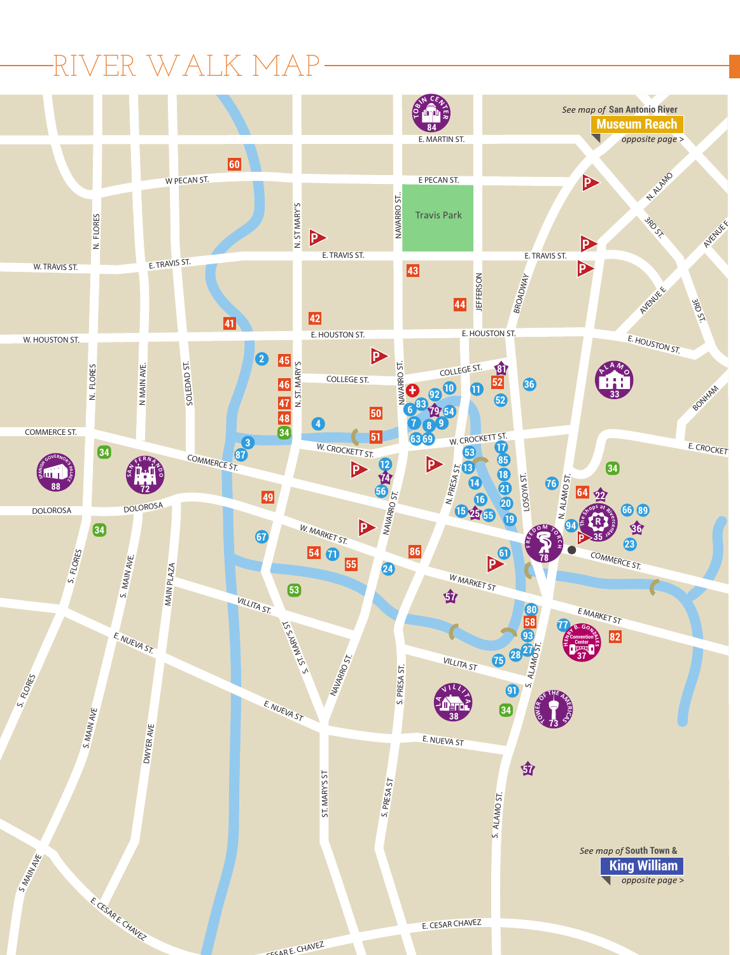## RIVER WALK MAP